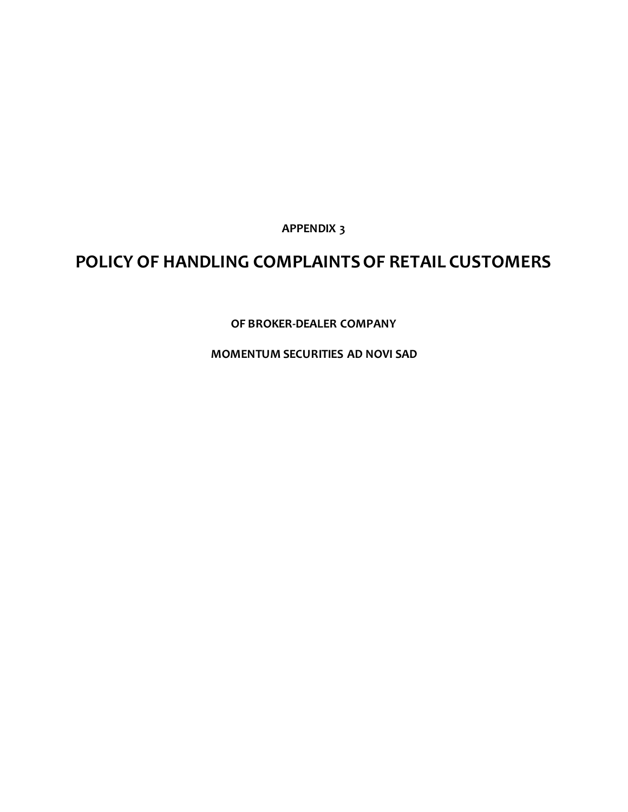**APPENDIX 3**

# **POLICY OF HANDLING COMPLAINTS OF RETAIL CUSTOMERS**

**OF BROKER-DEALER COMPANY**

**MOMENTUM SECURITIES AD NOVI SAD**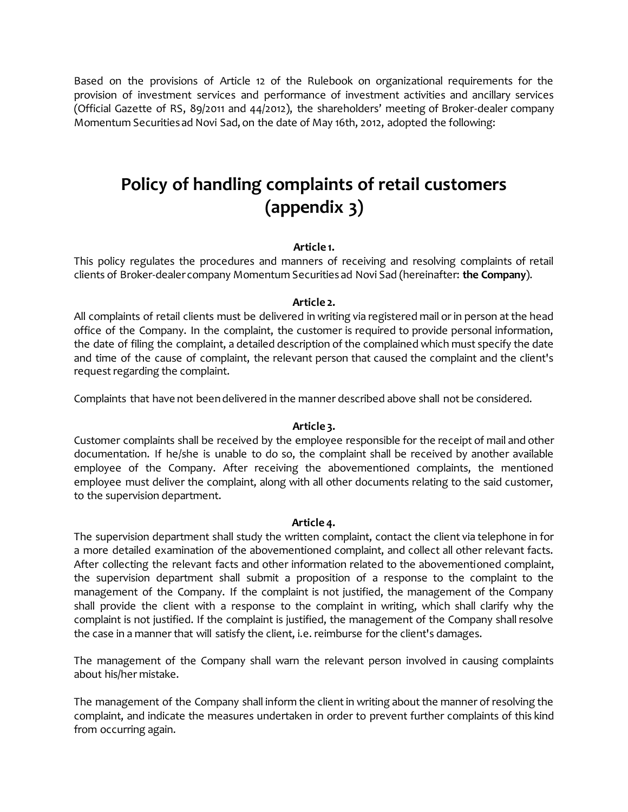Based on the provisions of Article 12 of the Rulebook on organizational requirements for the provision of investment services and performance of investment activities and ancillary services (Official Gazette of RS, 89/2011 and 44/2012), the shareholders' meeting of Broker-dealer company Momentum Securities ad Novi Sad, on the date of May 16th, 2012, adopted the following:

# **Policy of handling complaints of retail customers (appendix 3)**

## **Article 1.**

This policy regulates the procedures and manners of receiving and resolving complaints of retail clients of Broker-dealer company Momentum Securities ad Novi Sad (hereinafter: **the Company**).

### **Article 2.**

All complaints of retail clients must be delivered in writing via registered mail or in person at the head office of the Company. In the complaint, the customer is required to provide personal information, the date of filing the complaint, a detailed description of the complained which must specify the date and time of the cause of complaint, the relevant person that caused the complaint and the client's request regarding the complaint.

Complaints that have not been delivered in the manner described above shall not be considered.

#### **Article 3.**

Customer complaints shall be received by the employee responsible for the receipt of mail and other documentation. If he/she is unable to do so, the complaint shall be received by another available employee of the Company. After receiving the abovementioned complaints, the mentioned employee must deliver the complaint, along with all other documents relating to the said customer, to the supervision department.

#### **Article 4.**

The supervision department shall study the written complaint, contact the client via telephone in for a more detailed examination of the abovementioned complaint, and collect all other relevant facts. After collecting the relevant facts and other information related to the abovementioned complaint, the supervision department shall submit a proposition of a response to the complaint to the management of the Company. If the complaint is not justified, the management of the Company shall provide the client with a response to the complaint in writing, which shall clarify why the complaint is not justified. If the complaint is justified, the management of the Company shall resolve the case in a manner that will satisfy the client, i.e. reimburse for the client's damages.

The management of the Company shall warn the relevant person involved in causing complaints about his/her mistake.

The management of the Company shall inform the client in writing about the manner of resolving the complaint, and indicate the measures undertaken in order to prevent further complaints of this kind from occurring again.